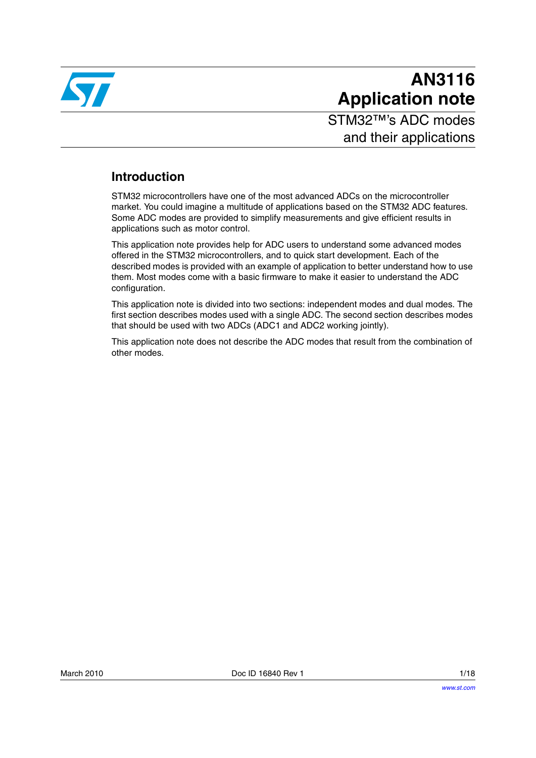

# **AN3116 Application note**

STM32™'s ADC modes and their applications

# **Introduction**

STM32 microcontrollers have one of the most advanced ADCs on the microcontroller market. You could imagine a multitude of applications based on the STM32 ADC features. Some ADC modes are provided to simplify measurements and give efficient results in applications such as motor control.

This application note provides help for ADC users to understand some advanced modes offered in the STM32 microcontrollers, and to quick start development. Each of the described modes is provided with an example of application to better understand how to use them. Most modes come with a basic firmware to make it easier to understand the ADC configuration.

This application note is divided into two sections: independent modes and dual modes. The first section describes modes used with a single ADC. The second section describes modes that should be used with two ADCs (ADC1 and ADC2 working jointly).

This application note does not describe the ADC modes that result from the combination of other modes.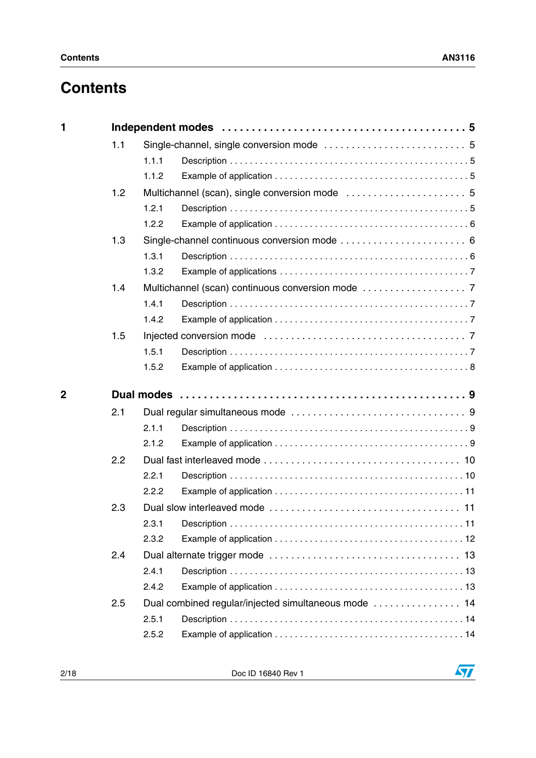# **Contents**

| 1              |     |                |  |  |  |
|----------------|-----|----------------|--|--|--|
|                | 1.1 |                |  |  |  |
|                |     | 1.1.1          |  |  |  |
|                |     | 1.1.2          |  |  |  |
|                | 1.2 |                |  |  |  |
|                |     | 1.2.1          |  |  |  |
|                |     | 1.2.2          |  |  |  |
|                | 1.3 |                |  |  |  |
|                |     | 1.3.1          |  |  |  |
|                |     | 1.3.2          |  |  |  |
|                | 1.4 |                |  |  |  |
|                |     | 1.4.1          |  |  |  |
|                |     | 1.4.2          |  |  |  |
|                | 1.5 |                |  |  |  |
|                |     | 1.5.1          |  |  |  |
|                |     | 1.5.2          |  |  |  |
| $\overline{2}$ |     |                |  |  |  |
|                | 2.1 |                |  |  |  |
|                |     | 2.1.1          |  |  |  |
|                |     |                |  |  |  |
|                |     |                |  |  |  |
|                | 2.2 | 2.1.2          |  |  |  |
|                |     |                |  |  |  |
|                |     | 2.2.1<br>2.2.2 |  |  |  |
|                |     |                |  |  |  |
|                | 2.3 |                |  |  |  |
|                |     | 2.3.2          |  |  |  |
|                |     |                |  |  |  |
|                | 2.4 | 2.4.1          |  |  |  |
|                |     | 2.4.2          |  |  |  |
|                | 2.5 |                |  |  |  |
|                |     | 2.5.1          |  |  |  |
|                |     | 2.5.2          |  |  |  |

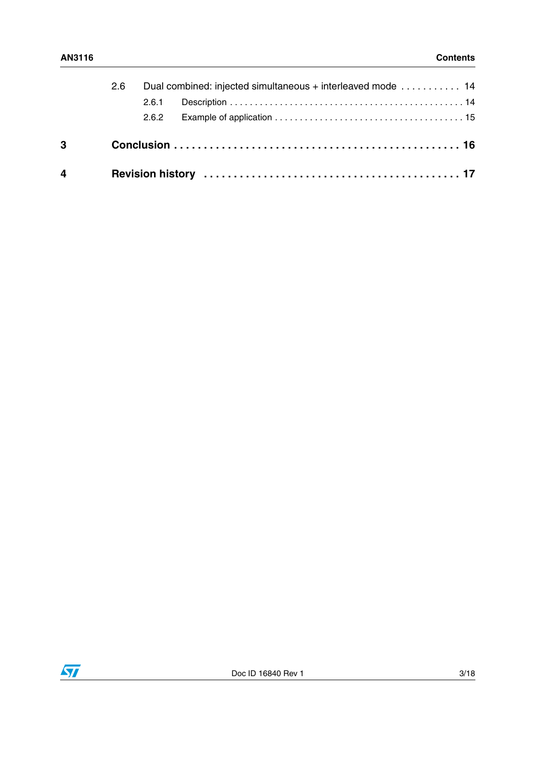| $\overline{4}$ |  |                                                             |  |  |  |
|----------------|--|-------------------------------------------------------------|--|--|--|
| 3              |  |                                                             |  |  |  |
|                |  | 2.6.2                                                       |  |  |  |
|                |  | 2.6.1                                                       |  |  |  |
| 2.6            |  | Dual combined: injected simultaneous + interleaved mode  14 |  |  |  |

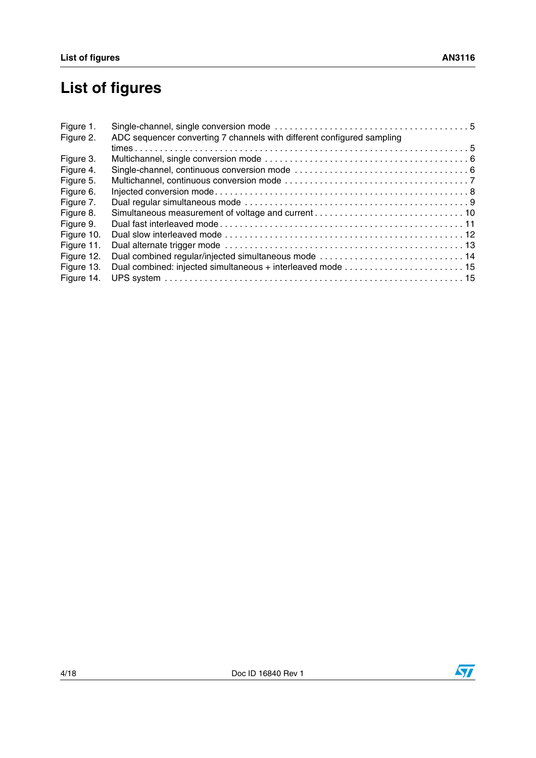# **List of figures**

| Figure 1.  |                                                                        |  |
|------------|------------------------------------------------------------------------|--|
| Figure 2.  | ADC sequencer converting 7 channels with different configured sampling |  |
|            |                                                                        |  |
| Figure 3.  |                                                                        |  |
| Figure 4.  |                                                                        |  |
| Figure 5.  |                                                                        |  |
| Figure 6.  |                                                                        |  |
| Figure 7.  |                                                                        |  |
| Figure 8.  |                                                                        |  |
| Figure 9.  |                                                                        |  |
| Figure 10. |                                                                        |  |
| Figure 11. |                                                                        |  |
| Figure 12. |                                                                        |  |
| Figure 13. |                                                                        |  |
| Figure 14. |                                                                        |  |

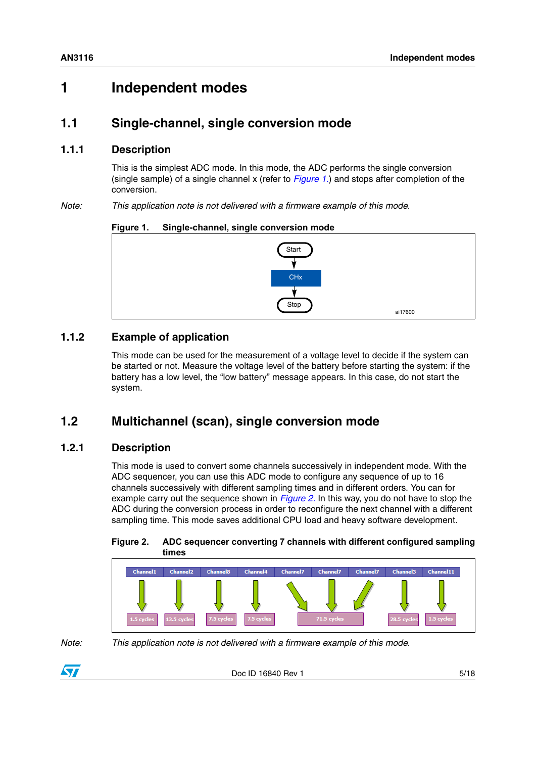# <span id="page-4-0"></span>**1 Independent modes**

# <span id="page-4-1"></span>**1.1 Single-channel, single conversion mode**

### <span id="page-4-2"></span>**1.1.1 Description**

This is the simplest ADC mode. In this mode, the ADC performs the single conversion (single sample) of a single channel x (refer to *[Figure 1.](#page-4-6)*) and stops after completion of the conversion.

*Note: This application note is not delivered with a firmware example of this mode.*

#### <span id="page-4-6"></span>**Figure 1. Single-channel, single conversion mode**



# <span id="page-4-3"></span>**1.1.2 Example of application**

This mode can be used for the measurement of a voltage level to decide if the system can be started or not. Measure the voltage level of the battery before starting the system: if the battery has a low level, the "low battery" message appears. In this case, do not start the system.

# <span id="page-4-4"></span>**1.2 Multichannel (scan), single conversion mode**

# <span id="page-4-5"></span>**1.2.1 Description**

This mode is used to convert some channels successively in independent mode. With the ADC sequencer, you can use this ADC mode to configure any sequence of up to 16 channels successively with different sampling times and in different orders. You can for example carry out the sequence shown in *[Figure 2.](#page-4-7)* In this way, you do not have to stop the ADC during the conversion process in order to reconfigure the next channel with a different sampling time. This mode saves additional CPU load and heavy software development.

#### <span id="page-4-7"></span>**Figure 2. ADC sequencer converting 7 channels with different configured sampling times**



*Note: This application note is not delivered with a firmware example of this mode.*

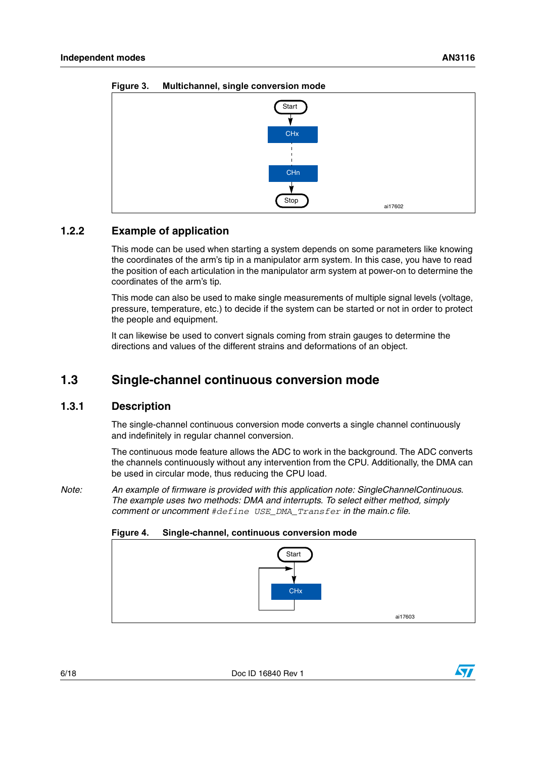

<span id="page-5-3"></span>**Figure 3. Multichannel, single conversion mode**

# <span id="page-5-0"></span>**1.2.2 Example of application**

This mode can be used when starting a system depends on some parameters like knowing the coordinates of the arm's tip in a manipulator arm system. In this case, you have to read the position of each articulation in the manipulator arm system at power-on to determine the coordinates of the arm's tip.

This mode can also be used to make single measurements of multiple signal levels (voltage, pressure, temperature, etc.) to decide if the system can be started or not in order to protect the people and equipment.

It can likewise be used to convert signals coming from strain gauges to determine the directions and values of the different strains and deformations of an object.

# <span id="page-5-1"></span>**1.3 Single-channel continuous conversion mode**

#### <span id="page-5-2"></span>**1.3.1 Description**

The single-channel continuous conversion mode converts a single channel continuously and indefinitely in regular channel conversion.

The continuous mode feature allows the ADC to work in the background. The ADC converts the channels continuously without any intervention from the CPU. Additionally, the DMA can be used in circular mode, thus reducing the CPU load.

*Note: An example of firmware is provided with this application note: SingleChannelContinuous. The example uses two methods: DMA and interrupts. To select either method, simply comment or uncomment #define USE\_DMA\_Transfer in the main.c file.*



<span id="page-5-4"></span>

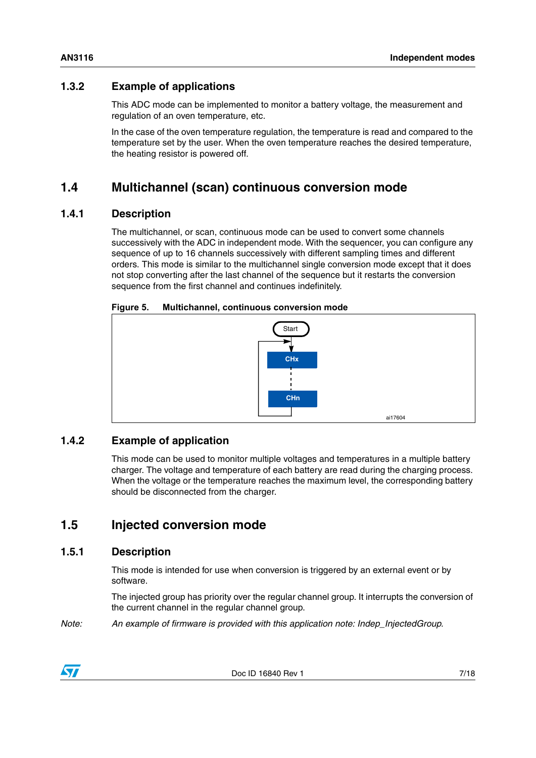# <span id="page-6-0"></span>**1.3.2 Example of applications**

This ADC mode can be implemented to monitor a battery voltage, the measurement and regulation of an oven temperature, etc.

In the case of the oven temperature regulation, the temperature is read and compared to the temperature set by the user. When the oven temperature reaches the desired temperature, the heating resistor is powered off.

# <span id="page-6-1"></span>**1.4 Multichannel (scan) continuous conversion mode**

### <span id="page-6-2"></span>**1.4.1 Description**

The multichannel, or scan, continuous mode can be used to convert some channels successively with the ADC in independent mode. With the sequencer, you can configure any sequence of up to 16 channels successively with different sampling times and different orders. This mode is similar to the multichannel single conversion mode except that it does not stop converting after the last channel of the sequence but it restarts the conversion sequence from the first channel and continues indefinitely.

<span id="page-6-6"></span>

| Figure 5. |  |  | Multichannel, continuous conversion mode |
|-----------|--|--|------------------------------------------|
|-----------|--|--|------------------------------------------|



# <span id="page-6-3"></span>**1.4.2 Example of application**

This mode can be used to monitor multiple voltages and temperatures in a multiple battery charger. The voltage and temperature of each battery are read during the charging process. When the voltage or the temperature reaches the maximum level, the corresponding battery should be disconnected from the charger.

# <span id="page-6-4"></span>**1.5 Injected conversion mode**

# <span id="page-6-5"></span>**1.5.1 Description**

This mode is intended for use when conversion is triggered by an external event or by software.

The injected group has priority over the regular channel group. It interrupts the conversion of the current channel in the regular channel group.

*Note: An example of firmware is provided with this application note: Indep\_InjectedGroup.*

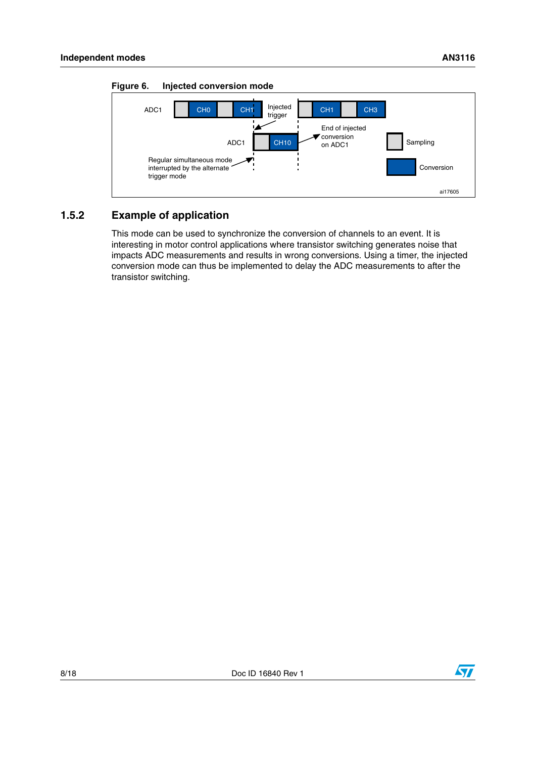

<span id="page-7-1"></span>**Figure 6. Injected conversion mode**

# <span id="page-7-0"></span>**1.5.2 Example of application**

This mode can be used to synchronize the conversion of channels to an event. It is interesting in motor control applications where transistor switching generates noise that impacts ADC measurements and results in wrong conversions. Using a timer, the injected conversion mode can thus be implemented to delay the ADC measurements to after the transistor switching.

ai17605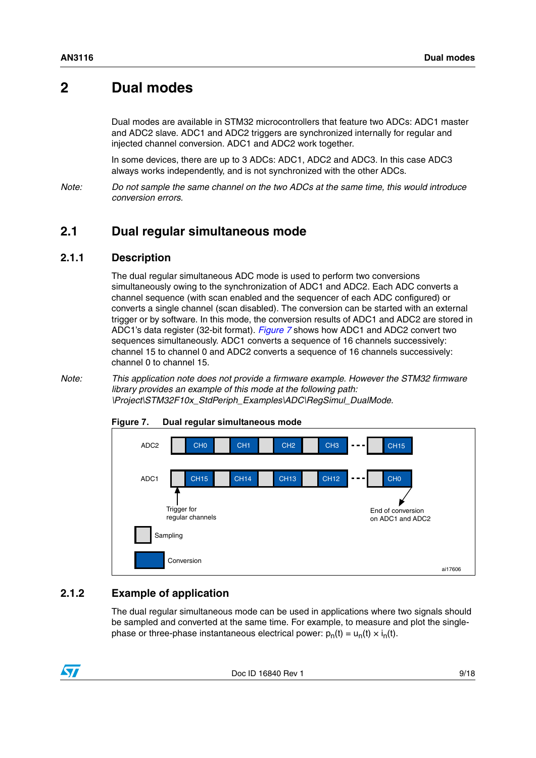# <span id="page-8-0"></span>**2 Dual modes**

Dual modes are available in STM32 microcontrollers that feature two ADCs: ADC1 master and ADC2 slave. ADC1 and ADC2 triggers are synchronized internally for regular and injected channel conversion. ADC1 and ADC2 work together.

In some devices, there are up to 3 ADCs: ADC1, ADC2 and ADC3. In this case ADC3 always works independently, and is not synchronized with the other ADCs.

*Note: Do not sample the same channel on the two ADCs at the same time, this would introduce conversion errors.*

# <span id="page-8-1"></span>**2.1 Dual regular simultaneous mode**

#### <span id="page-8-2"></span>**2.1.1 Description**

The dual regular simultaneous ADC mode is used to perform two conversions simultaneously owing to the synchronization of ADC1 and ADC2. Each ADC converts a channel sequence (with scan enabled and the sequencer of each ADC configured) or converts a single channel (scan disabled). The conversion can be started with an external trigger or by software. In this mode, the conversion results of ADC1 and ADC2 are stored in ADC1's data register (32-bit format). *[Figure 7](#page-8-4)* shows how ADC1 and ADC2 convert two sequences simultaneously. ADC1 converts a sequence of 16 channels successively: channel 15 to channel 0 and ADC2 converts a sequence of 16 channels successively: channel 0 to channel 15.

*Note: This application note does not provide a firmware example. However the STM32 firmware library provides an example of this mode at the following path: \Project\STM32F10x\_StdPeriph\_Examples\ADC\RegSimul\_DualMode.*



#### <span id="page-8-4"></span>**Figure 7. Dual regular simultaneous mode**

### <span id="page-8-3"></span>**2.1.2 Example of application**

The dual regular simultaneous mode can be used in applications where two signals should be sampled and converted at the same time. For example, to measure and plot the singlephase or three-phase instantaneous electrical power:  $p_n(t) = u_n(t) \times i_n(t)$ .

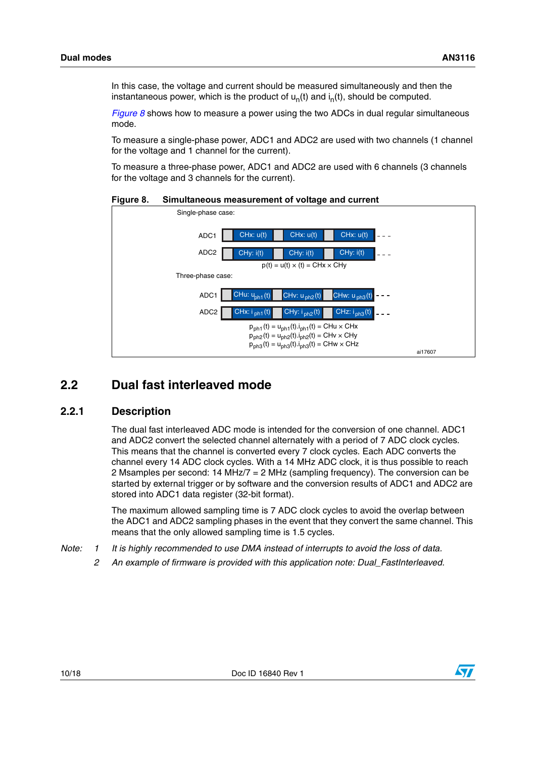In this case, the voltage and current should be measured simultaneously and then the instantaneous power, which is the product of  $u_n(t)$  and  $i_n(t)$ , should be computed.

*[Figure 8](#page-9-2)* shows how to measure a power using the two ADCs in dual regular simultaneous mode.

To measure a single-phase power, ADC1 and ADC2 are used with two channels (1 channel for the voltage and 1 channel for the current).

To measure a three-phase power, ADC1 and ADC2 are used with 6 channels (3 channels for the voltage and 3 channels for the current).

<span id="page-9-2"></span>**Figure 8. Simultaneous measurement of voltage and current**



# <span id="page-9-0"></span>**2.2 Dual fast interleaved mode**

#### <span id="page-9-1"></span>**2.2.1 Description**

The dual fast interleaved ADC mode is intended for the conversion of one channel. ADC1 and ADC2 convert the selected channel alternately with a period of 7 ADC clock cycles. This means that the channel is converted every 7 clock cycles. Each ADC converts the channel every 14 ADC clock cycles. With a 14 MHz ADC clock, it is thus possible to reach 2 Msamples per second: 14 MHz/7 = 2 MHz (sampling frequency). The conversion can be started by external trigger or by software and the conversion results of ADC1 and ADC2 are stored into ADC1 data register (32-bit format).

The maximum allowed sampling time is 7 ADC clock cycles to avoid the overlap between the ADC1 and ADC2 sampling phases in the event that they convert the same channel. This means that the only allowed sampling time is 1.5 cycles.

- *Note: 1 It is highly recommended to use DMA instead of interrupts to avoid the loss of data.*
	- *2 An example of firmware is provided with this application note: Dual\_FastInterleaved.*

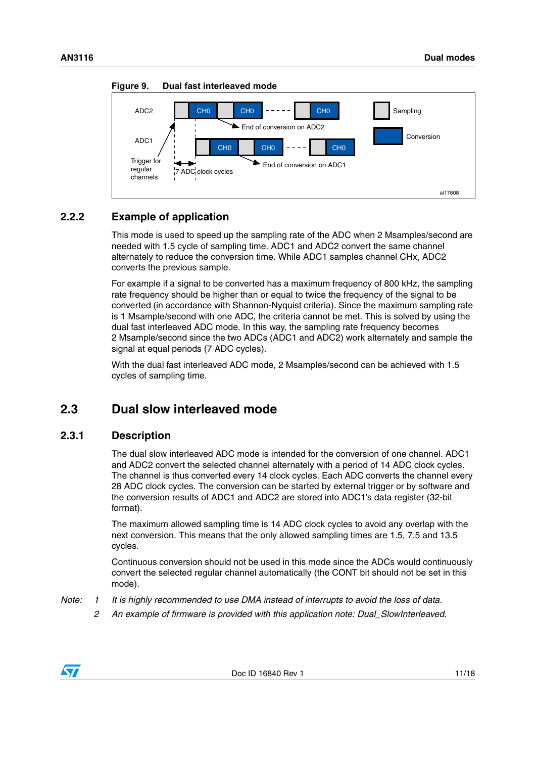

<span id="page-10-3"></span>**Figure 9. Dual fast interleaved mode**

# <span id="page-10-0"></span>**2.2.2 Example of application**

This mode is used to speed up the sampling rate of the ADC when 2 Msamples/second are needed with 1.5 cycle of sampling time. ADC1 and ADC2 convert the same channel alternately to reduce the conversion time. While ADC1 samples channel CHx, ADC2 converts the previous sample.

For example if a signal to be converted has a maximum frequency of 800 kHz, the sampling rate frequency should be higher than or equal to twice the frequency of the signal to be converted (in accordance with Shannon-Nyquist criteria). Since the maximum sampling rate is 1 Msample/second with one ADC, the criteria cannot be met. This is solved by using the dual fast interleaved ADC mode. In this way, the sampling rate frequency becomes 2 Msample/second since the two ADCs (ADC1 and ADC2) work alternately and sample the signal at equal periods (7 ADC cycles).

With the dual fast interleaved ADC mode, 2 Msamples/second can be achieved with 1.5 cycles of sampling time.

# <span id="page-10-1"></span>**2.3 Dual slow interleaved mode**

# <span id="page-10-2"></span>**2.3.1 Description**

The dual slow interleaved ADC mode is intended for the conversion of one channel. ADC1 and ADC2 convert the selected channel alternately with a period of 14 ADC clock cycles. The channel is thus converted every 14 clock cycles. Each ADC converts the channel every 28 ADC clock cycles. The conversion can be started by external trigger or by software and the conversion results of ADC1 and ADC2 are stored into ADC1's data register (32-bit format).

The maximum allowed sampling time is 14 ADC clock cycles to avoid any overlap with the next conversion. This means that the only allowed sampling times are 1.5, 7.5 and 13.5 cycles.

Continuous conversion should not be used in this mode since the ADCs would continuously convert the selected regular channel automatically (the CONT bit should not be set in this mode).

- *Note: 1 It is highly recommended to use DMA instead of interrupts to avoid the loss of data.*
	- *2 An example of firmware is provided with this application note: Dual\_SlowInterleaved.*

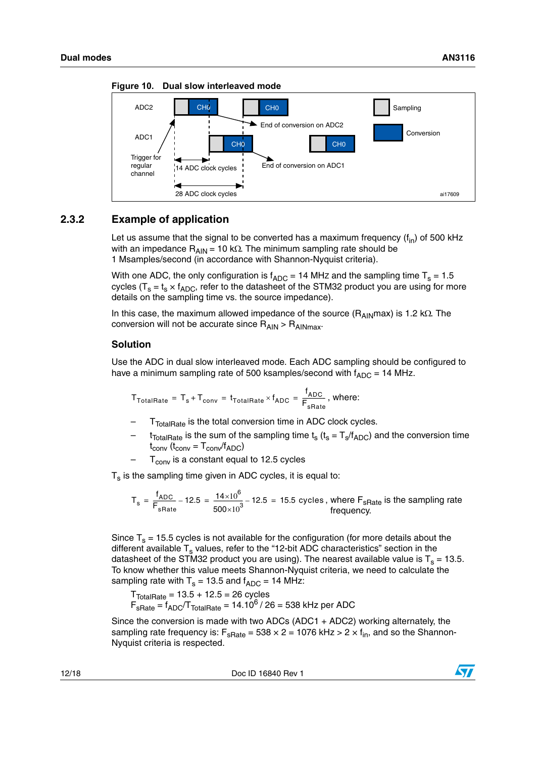

<span id="page-11-1"></span>**Figure 10. Dual slow interleaved mode**

# <span id="page-11-0"></span>**2.3.2 Example of application**

Let us assume that the signal to be converted has a maximum frequency  $(f_{in})$  of 500 kHz with an impedance  $R_{\text{AIN}} = 10 \text{ k}\Omega$ . The minimum sampling rate should be 1 Msamples/second (in accordance with Shannon-Nyquist criteria).

With one ADC, the only configuration is  $f_{ADC} = 14$  MHz and the sampling time T<sub>s</sub> = 1.5 cycles ( $T_s = t_s \times f_{ADC}$ , refer to the datasheet of the STM32 product you are using for more details on the sampling time vs. the source impedance).

In this case, the maximum allowed impedance of the source ( $R_{AlN}$ max) is 1.2 k $\Omega$ . The conversion will not be accurate since  $R_{AIN} > R_{AINmax}$ .

#### **Solution**

Use the ADC in dual slow interleaved mode. Each ADC sampling should be configured to have a minimum sampling rate of 500 ksamples/second with  $f_{ADC} = 14$  MHz.

$$
T_{\text{TotalRate}} = T_s + T_{\text{conv}} = t_{\text{TotalRate}} \times f_{\text{ADC}} = \frac{f_{\text{ADC}}}{F_{\text{state}}}, \text{ where:}
$$

- $T_{\text{TotalRate}}$  is the total conversion time in ADC clock cycles.
- $t_{\text{TotalRate}}$  is the sum of the sampling time  $t_s$  ( $t_s = T_s/f_{\text{ADC}}$ ) and the conversion time  $t_{conv}$  ( $t_{conv} = T_{conv}/f_{ADC}$ )
- $T_{\text{conv}}$  is a constant equal to 12.5 cycles

 $T_s$  is the sampling time given in ADC cycles, it is equal to:

$$
T_s = \frac{f_{ADC}}{F_{sRate}} - 12.5 = \frac{14 \times 10^6}{500 \times 10^3} - 12.5 = 15.5
$$
 cycles, where  $F_{sRate}$  is the sampling rate frequency.

Since  $T_s$  = 15.5 cycles is not available for the configuration (for more details about the different available  $T_s$  values, refer to the "12-bit ADC characteristics" section in the datasheet of the STM32 product you are using). The nearest available value is  $T_s = 13.5$ . To know whether this value meets Shannon-Nyquist criteria, we need to calculate the sampling rate with  $T_s = 13.5$  and  $f_{ADC} = 14$  MHz:

 $T_{\text{TotalRate}} = 13.5 + 12.5 = 26 \text{ cycles}$  $F_{sRate} = f_{ADC}/T_{TotalRate} = 14.10^6 / 26 = 538$  kHz per ADC

Since the conversion is made with two ADCs (ADC1 + ADC2) working alternately, the sampling rate frequency is:  $F_{\text{sRate}} = 538 \times 2 = 1076 \text{ kHz} > 2 \times f_{\text{in}}$ , and so the Shannon-Nyquist criteria is respected.

12/18 Doc ID 16840 Rev 1

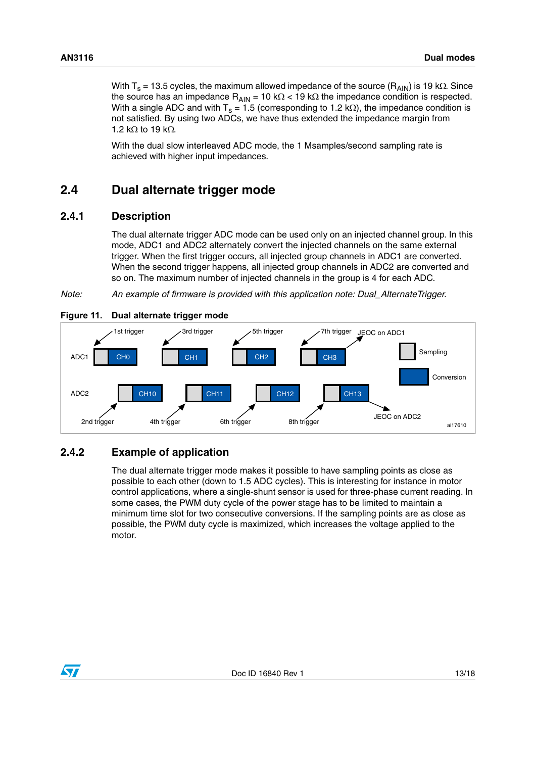With T<sub>s</sub> = 13.5 cycles, the maximum allowed impedance of the source (R<sub>AIN</sub>) is 19 k $\Omega$ . Since the source has an impedance  $R_{AIN} = 10 k\Omega < 19 k\Omega$  the impedance condition is respected. With a single ADC and with  $T_s = 1.5$  (corresponding to 1.2 k $\Omega$ ), the impedance condition is not satisfied. By using two ADCs, we have thus extended the impedance margin from 1.2 k $\Omega$  to 19 k $\Omega$ .

With the dual slow interleaved ADC mode, the 1 Msamples/second sampling rate is achieved with higher input impedances.

# <span id="page-12-0"></span>**2.4 Dual alternate trigger mode**

#### <span id="page-12-1"></span>**2.4.1 Description**

The dual alternate trigger ADC mode can be used only on an injected channel group. In this mode, ADC1 and ADC2 alternately convert the injected channels on the same external trigger. When the first trigger occurs, all injected group channels in ADC1 are converted. When the second trigger happens, all injected group channels in ADC2 are converted and so on. The maximum number of injected channels in the group is 4 for each ADC.

*Note: An example of firmware is provided with this application note: Dual\_AlternateTrigger.*



#### <span id="page-12-3"></span>**Figure 11. Dual alternate trigger mode**

# <span id="page-12-2"></span>**2.4.2 Example of application**

The dual alternate trigger mode makes it possible to have sampling points as close as possible to each other (down to 1.5 ADC cycles). This is interesting for instance in motor control applications, where a single-shunt sensor is used for three-phase current reading. In some cases, the PWM duty cycle of the power stage has to be limited to maintain a minimum time slot for two consecutive conversions. If the sampling points are as close as possible, the PWM duty cycle is maximized, which increases the voltage applied to the motor.

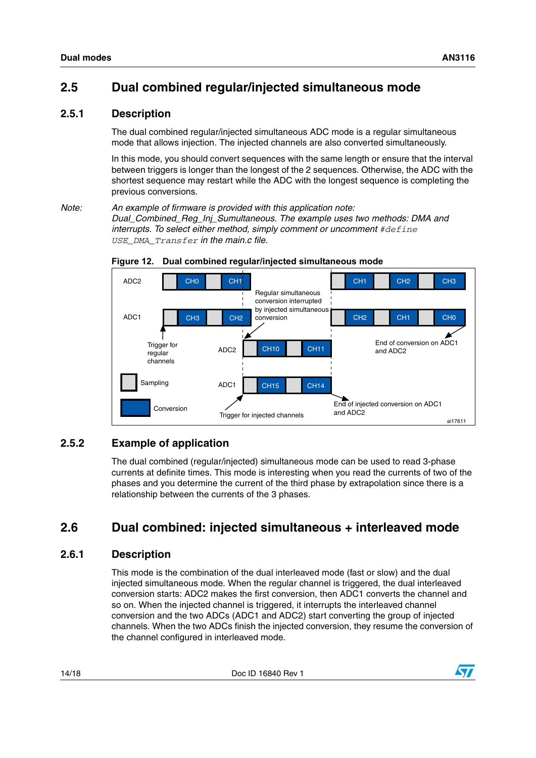# <span id="page-13-0"></span>**2.5 Dual combined regular/injected simultaneous mode**

# <span id="page-13-1"></span>**2.5.1 Description**

The dual combined regular/injected simultaneous ADC mode is a regular simultaneous mode that allows injection. The injected channels are also converted simultaneously.

In this mode, you should convert sequences with the same length or ensure that the interval between triggers is longer than the longest of the 2 sequences. Otherwise, the ADC with the shortest sequence may restart while the ADC with the longest sequence is completing the previous conversions.

*Note: An example of firmware is provided with this application note: Dual\_Combined\_Reg\_Inj\_Sumultaneous. The example uses two methods: DMA and interrupts. To select either method, simply comment or uncomment #define USE\_DMA\_Transfer in the main.c file.*



#### <span id="page-13-5"></span>**Figure 12. Dual combined regular/injected simultaneous mode**

# <span id="page-13-2"></span>**2.5.2 Example of application**

The dual combined (regular/injected) simultaneous mode can be used to read 3-phase currents at definite times. This mode is interesting when you read the currents of two of the phases and you determine the current of the third phase by extrapolation since there is a relationship between the currents of the 3 phases.

# <span id="page-13-3"></span>**2.6 Dual combined: injected simultaneous + interleaved mode**

# <span id="page-13-4"></span>**2.6.1 Description**

This mode is the combination of the dual interleaved mode (fast or slow) and the dual injected simultaneous mode. When the regular channel is triggered, the dual interleaved conversion starts: ADC2 makes the first conversion, then ADC1 converts the channel and so on. When the injected channel is triggered, it interrupts the interleaved channel conversion and the two ADCs (ADC1 and ADC2) start converting the group of injected channels. When the two ADCs finish the injected conversion, they resume the conversion of the channel configured in interleaved mode.

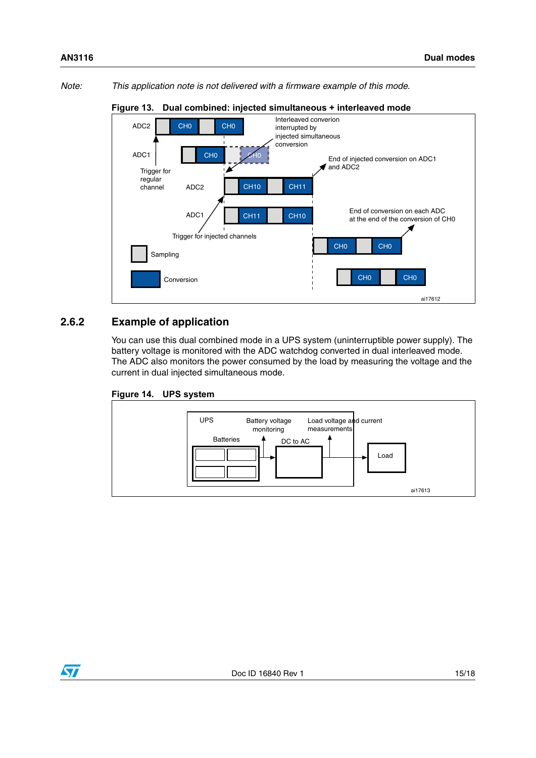*Note: This application note is not delivered with a firmware example of this mode.*



#### <span id="page-14-1"></span>**Figure 13. Dual combined: injected simultaneous + interleaved mode**

### <span id="page-14-0"></span>**2.6.2 Example of application**

You can use this dual combined mode in a UPS system (uninterruptible power supply). The battery voltage is monitored with the ADC watchdog converted in dual interleaved mode. The ADC also monitors the power consumed by the load by measuring the voltage and the current in dual injected simultaneous mode.

<span id="page-14-2"></span>



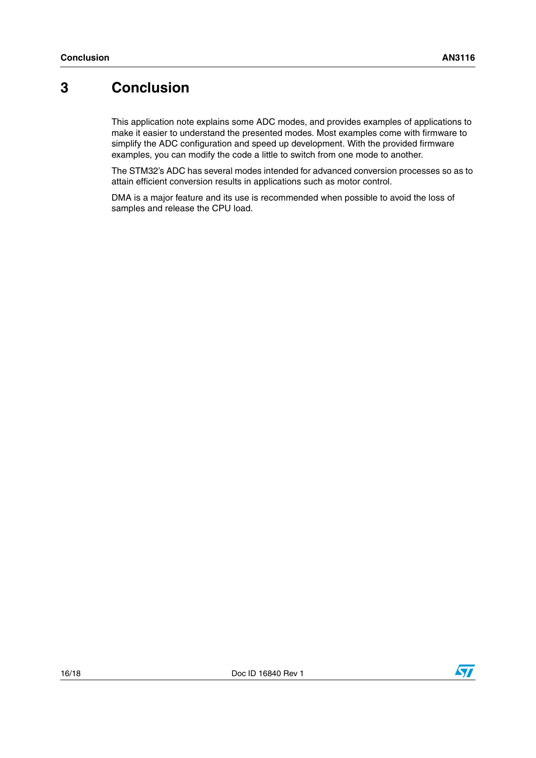# <span id="page-15-0"></span>**3 Conclusion**

This application note explains some ADC modes, and provides examples of applications to make it easier to understand the presented modes. Most examples come with firmware to simplify the ADC configuration and speed up development. With the provided firmware examples, you can modify the code a little to switch from one mode to another.

The STM32's ADC has several modes intended for advanced conversion processes so as to attain efficient conversion results in applications such as motor control.

DMA is a major feature and its use is recommended when possible to avoid the loss of samples and release the CPU load.

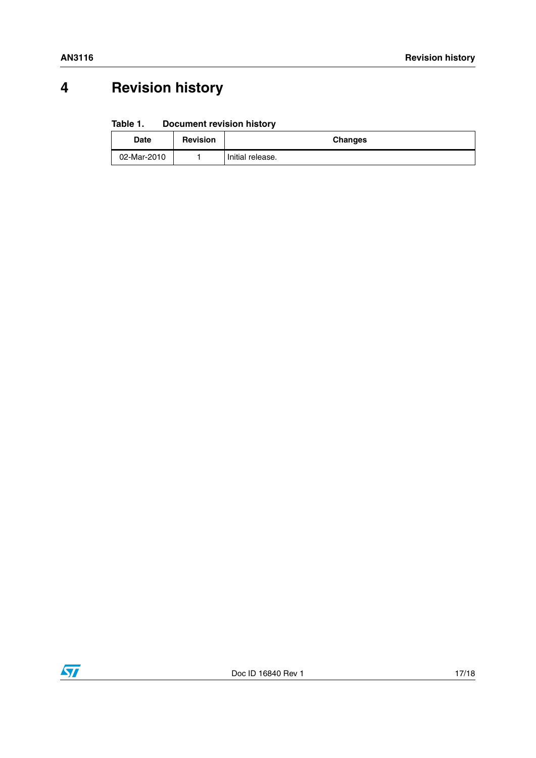# <span id="page-16-0"></span>**4 Revision history**

#### Table 1. **Document revision history**

| <b>Date</b> | <b>Revision</b> | <b>Changes</b>   |  |
|-------------|-----------------|------------------|--|
| 02-Mar-2010 |                 | Initial release. |  |